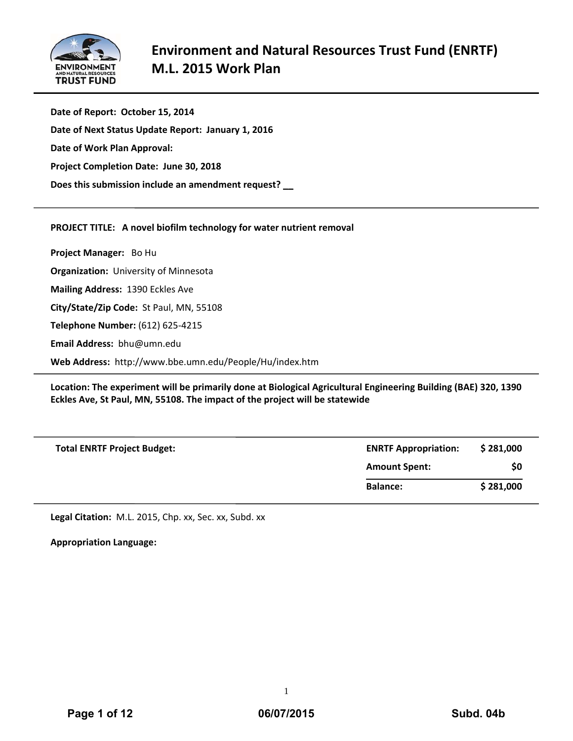

**Date of Report: October 15, 2014 Date of Next Status Update Report: January 1, 2016 Date of Work Plan Approval: Project Completion Date: June 30, 2018 Does this submission include an amendment request? \_\_**

# **PROJECT TITLE: A novel biofilm technology for water nutrient removal**

**Project Manager:**  Bo Hu

**Organization:** University of Minnesota

**Mailing Address:** 1390 Eckles Ave

**City/State/Zip Code:** St Paul, MN, 55108

**Telephone Number:** (612) 625‐4215

**Email Address:** bhu@umn.edu

**Web Address:** http://www.bbe.umn.edu/People/Hu/index.htm

**Location: The experiment will be primarily done at Biological Agricultural Engineering Building (BAE) 320, 1390 Eckles Ave, St Paul, MN, 55108. The impact of the project will be statewide**

| <b>Total ENRTF Project Budget:</b> | <b>ENRTF Appropriation:</b> | \$281,000 |
|------------------------------------|-----------------------------|-----------|
|                                    | <b>Amount Spent:</b>        | \$0       |
|                                    | <b>Balance:</b>             | \$281,000 |

**Legal Citation:** M.L. 2015, Chp. xx, Sec. xx, Subd. xx

**Appropriation Language:**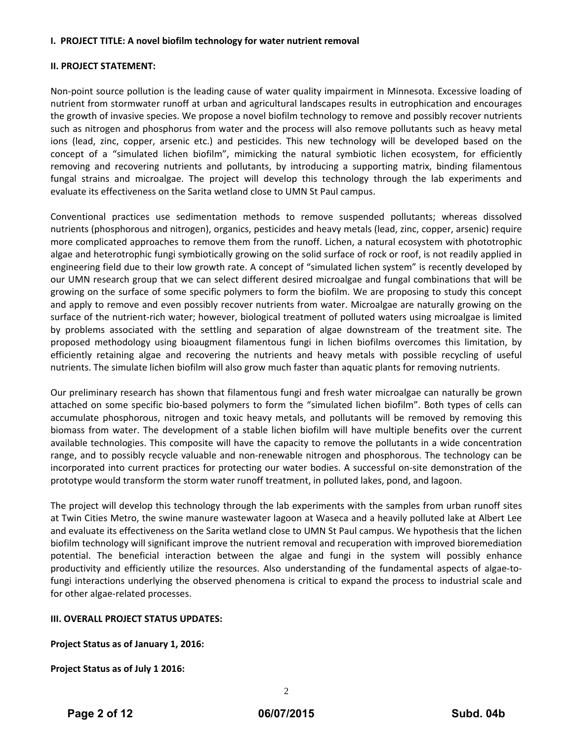# **I. PROJECT TITLE: A novel biofilm technology for water nutrient removal**

# **II. PROJECT STATEMENT:**

Non‐point source pollution is the leading cause of water quality impairment in Minnesota. Excessive loading of nutrient from stormwater runoff at urban and agricultural landscapes results in eutrophication and encourages the growth of invasive species. We propose a novel biofilm technology to remove and possibly recover nutrients such as nitrogen and phosphorus from water and the process will also remove pollutants such as heavy metal ions (lead, zinc, copper, arsenic etc.) and pesticides. This new technology will be developed based on the concept of a "simulated lichen biofilm", mimicking the natural symbiotic lichen ecosystem, for efficiently removing and recovering nutrients and pollutants, by introducing a supporting matrix, binding filamentous fungal strains and microalgae. The project will develop this technology through the lab experiments and evaluate its effectiveness on the Sarita wetland close to UMN St Paul campus.

Conventional practices use sedimentation methods to remove suspended pollutants; whereas dissolved nutrients (phosphorous and nitrogen), organics, pesticides and heavy metals (lead, zinc, copper, arsenic) require more complicated approaches to remove them from the runoff. Lichen, a natural ecosystem with phototrophic algae and heterotrophic fungi symbiotically growing on the solid surface of rock or roof, is not readily applied in engineering field due to their low growth rate. A concept of "simulated lichen system" is recently developed by our UMN research group that we can select different desired microalgae and fungal combinations that will be growing on the surface of some specific polymers to form the biofilm. We are proposing to study this concept and apply to remove and even possibly recover nutrients from water. Microalgae are naturally growing on the surface of the nutrient-rich water; however, biological treatment of polluted waters using microalgae is limited by problems associated with the settling and separation of algae downstream of the treatment site. The proposed methodology using bioaugment filamentous fungi in lichen biofilms overcomes this limitation, by efficiently retaining algae and recovering the nutrients and heavy metals with possible recycling of useful nutrients. The simulate lichen biofilm will also grow much faster than aquatic plants for removing nutrients.

Our preliminary research has shown that filamentous fungi and fresh water microalgae can naturally be grown attached on some specific bio‐based polymers to form the "simulated lichen biofilm". Both types of cells can accumulate phosphorous, nitrogen and toxic heavy metals, and pollutants will be removed by removing this biomass from water. The development of a stable lichen biofilm will have multiple benefits over the current available technologies. This composite will have the capacity to remove the pollutants in a wide concentration range, and to possibly recycle valuable and non-renewable nitrogen and phosphorous. The technology can be incorporated into current practices for protecting our water bodies. A successful on‐site demonstration of the prototype would transform the storm water runoff treatment, in polluted lakes, pond, and lagoon.

The project will develop this technology through the lab experiments with the samples from urban runoff sites at Twin Cities Metro, the swine manure wastewater lagoon at Waseca and a heavily polluted lake at Albert Lee and evaluate its effectiveness on the Sarita wetland close to UMN St Paul campus. We hypothesis that the lichen biofilm technology will significant improve the nutrient removal and recuperation with improved bioremediation potential. The beneficial interaction between the algae and fungi in the system will possibly enhance productivity and efficiently utilize the resources. Also understanding of the fundamental aspects of algae‐to‐ fungi interactions underlying the observed phenomena is critical to expand the process to industrial scale and for other algae‐related processes.

# **III. OVERALL PROJECT STATUS UPDATES:**

**Project Status as of January 1, 2016:**

**Project Status as of July 1 2016:**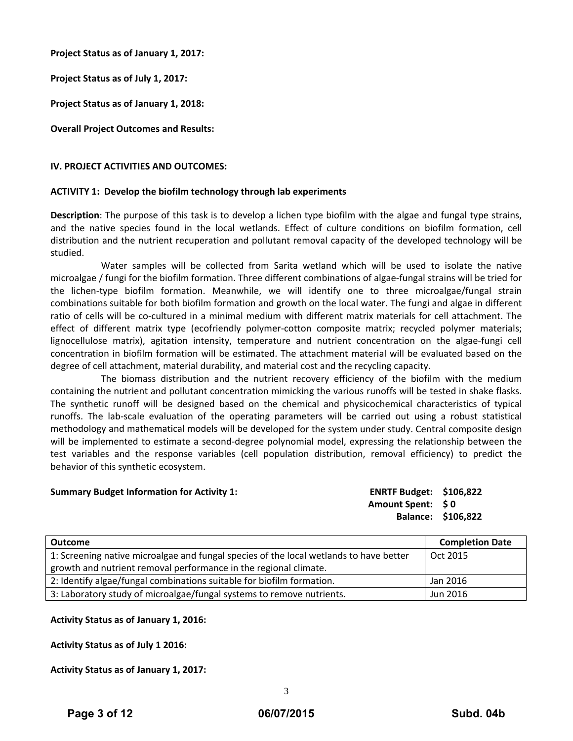**Project Status as of January 1, 2017:**

**Project Status as of July 1, 2017:**

**Project Status as of January 1, 2018:**

**Overall Project Outcomes and Results:**

### **IV. PROJECT ACTIVITIES AND OUTCOMES:**

#### **ACTIVITY 1: Develop the biofilm technology through lab experiments**

**Description**: The purpose of this task is to develop a lichen type biofilm with the algae and fungal type strains, and the native species found in the local wetlands. Effect of culture conditions on biofilm formation, cell distribution and the nutrient recuperation and pollutant removal capacity of the developed technology will be studied.

Water samples will be collected from Sarita wetland which will be used to isolate the native microalgae / fungi for the biofilm formation. Three different combinations of algae‐fungal strains will be tried for the lichen‐type biofilm formation. Meanwhile, we will identify one to three microalgae/fungal strain combinations suitable for both biofilm formation and growth on the local water. The fungi and algae in different ratio of cells will be co-cultured in a minimal medium with different matrix materials for cell attachment. The effect of different matrix type (ecofriendly polymer-cotton composite matrix; recycled polymer materials; lignocellulose matrix), agitation intensity, temperature and nutrient concentration on the algae-fungi cell concentration in biofilm formation will be estimated. The attachment material will be evaluated based on the degree of cell attachment, material durability, and material cost and the recycling capacity.

The biomass distribution and the nutrient recovery efficiency of the biofilm with the medium containing the nutrient and pollutant concentration mimicking the various runoffs will be tested in shake flasks. The synthetic runoff will be designed based on the chemical and physicochemical characteristics of typical runoffs. The lab‐scale evaluation of the operating parameters will be carried out using a robust statistical methodology and mathematical models will be developed for the system under study. Central composite design will be implemented to estimate a second-degree polynomial model, expressing the relationship between the test variables and the response variables (cell population distribution, removal efficiency) to predict the behavior of this synthetic ecosystem.

#### **Summary Budget Information for Activity 1: ENRTF Budget: \$106,822**

**Amount Spent: \$ 0 Balance: \$106,822** 

| <b>Outcome</b>                                                                         | <b>Completion Date</b> |
|----------------------------------------------------------------------------------------|------------------------|
| 1: Screening native microalgae and fungal species of the local wetlands to have better | Oct 2015               |
| growth and nutrient removal performance in the regional climate.                       |                        |
| 2: Identify algae/fungal combinations suitable for biofilm formation.                  | Jan 2016               |
| 3: Laboratory study of microalgae/fungal systems to remove nutrients.                  | Jun 2016               |

# **Activity Status as of January 1, 2016:**

**Activity Status as of July 1 2016:** 

**Activity Status as of January 1, 2017:**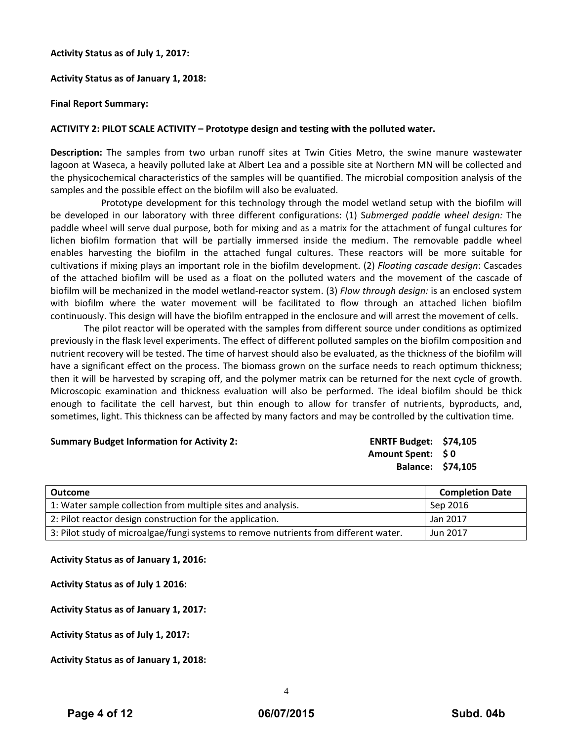### **Activity Status as of July 1, 2017:**

# **Activity Status as of January 1, 2018:**

### **Final Report Summary:**

# **ACTIVITY 2: PILOT SCALE ACTIVITY – Prototype design and testing with the polluted water.**

**Description:** The samples from two urban runoff sites at Twin Cities Metro, the swine manure wastewater lagoon at Waseca, a heavily polluted lake at Albert Lea and a possible site at Northern MN will be collected and the physicochemical characteristics of the samples will be quantified. The microbial composition analysis of the samples and the possible effect on the biofilm will also be evaluated.

Prototype development for this technology through the model wetland setup with the biofilm will be developed in our laboratory with three different configurations: (1) S*ubmerged paddle wheel design:* The paddle wheel will serve dual purpose, both for mixing and as a matrix for the attachment of fungal cultures for lichen biofilm formation that will be partially immersed inside the medium. The removable paddle wheel enables harvesting the biofilm in the attached fungal cultures. These reactors will be more suitable for cultivations if mixing plays an important role in the biofilm development. (2) *Floating cascade design*: Cascades of the attached biofilm will be used as a float on the polluted waters and the movement of the cascade of biofilm will be mechanized in the model wetland‐reactor system. (3) *Flow through design:* is an enclosed system with biofilm where the water movement will be facilitated to flow through an attached lichen biofilm continuously. This design will have the biofilm entrapped in the enclosure and will arrest the movement of cells.

The pilot reactor will be operated with the samples from different source under conditions as optimized previously in the flask level experiments. The effect of different polluted samples on the biofilm composition and nutrient recovery will be tested. The time of harvest should also be evaluated, as the thickness of the biofilm will have a significant effect on the process. The biomass grown on the surface needs to reach optimum thickness; then it will be harvested by scraping off, and the polymer matrix can be returned for the next cycle of growth. Microscopic examination and thickness evaluation will also be performed. The ideal biofilm should be thick enough to facilitate the cell harvest, but thin enough to allow for transfer of nutrients, byproducts, and, sometimes, light. This thickness can be affected by many factors and may be controlled by the cultivation time.

#### **Summary Budget Information for Activity 2: ENRTF Budget: \$74,105**

**Amount Spent: \$ 0 Balance: \$74,105**

| <b>Outcome</b>                                                                       | <b>Completion Date</b> |
|--------------------------------------------------------------------------------------|------------------------|
| 1: Water sample collection from multiple sites and analysis.                         | Sep 2016               |
| 2: Pilot reactor design construction for the application.                            | Jan 2017               |
| 3: Pilot study of microalgae/fungi systems to remove nutrients from different water. | Jun 2017               |

#### **Activity Status as of January 1, 2016:**

**Activity Status as of July 1 2016:** 

**Activity Status as of January 1, 2017:** 

**Activity Status as of July 1, 2017:** 

**Activity Status as of January 1, 2018:**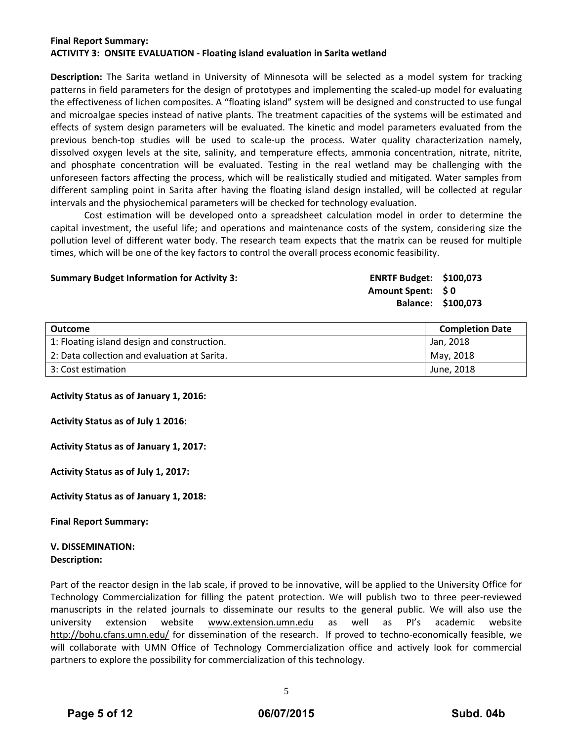# **Final Report Summary: ACTIVITY 3: ONSITE EVALUATION ‐ Floating island evaluation in Sarita wetland**

**Description:** The Sarita wetland in University of Minnesota will be selected as a model system for tracking patterns in field parameters for the design of prototypes and implementing the scaled‐up model for evaluating the effectiveness of lichen composites. A "floating island" system will be designed and constructed to use fungal and microalgae species instead of native plants. The treatment capacities of the systems will be estimated and effects of system design parameters will be evaluated. The kinetic and model parameters evaluated from the previous bench-top studies will be used to scale-up the process. Water quality characterization namely, dissolved oxygen levels at the site, salinity, and temperature effects, ammonia concentration, nitrate, nitrite, and phosphate concentration will be evaluated. Testing in the real wetland may be challenging with the unforeseen factors affecting the process, which will be realistically studied and mitigated. Water samples from different sampling point in Sarita after having the floating island design installed, will be collected at regular intervals and the physiochemical parameters will be checked for technology evaluation.

Cost estimation will be developed onto a spreadsheet calculation model in order to determine the capital investment, the useful life; and operations and maintenance costs of the system, considering size the pollution level of different water body. The research team expects that the matrix can be reused for multiple times, which will be one of the key factors to control the overall process economic feasibility.

#### **Summary Budget Information for Activity 3: ENRTF Budget: \$100,073**

**Amount Spent: \$ 0 Balance: \$100,073**

| Outcome                                      | <b>Completion Date</b> |
|----------------------------------------------|------------------------|
| 1: Floating island design and construction.  | Jan. 2018              |
| 2: Data collection and evaluation at Sarita. | May, 2018              |
| 3: Cost estimation                           | June, 2018             |

#### **Activity Status as of January 1, 2016:**

**Activity Status as of July 1 2016:** 

**Activity Status as of January 1, 2017:** 

**Activity Status as of July 1, 2017:** 

**Activity Status as of January 1, 2018:** 

**Final Report Summary:**

#### **V. DISSEMINATION: Description:**

Part of the reactor design in the lab scale, if proved to be innovative, will be applied to the University Office for Technology Commercialization for filling the patent protection. We will publish two to three peer‐reviewed manuscripts in the related journals to disseminate our results to the general public. We will also use the university extension website www.extension.umn.edu as well as PI's academic website http://bohu.cfans.umn.edu/ for dissemination of the research. If proved to techno-economically feasible, we will collaborate with UMN Office of Technology Commercialization office and actively look for commercial partners to explore the possibility for commercialization of this technology.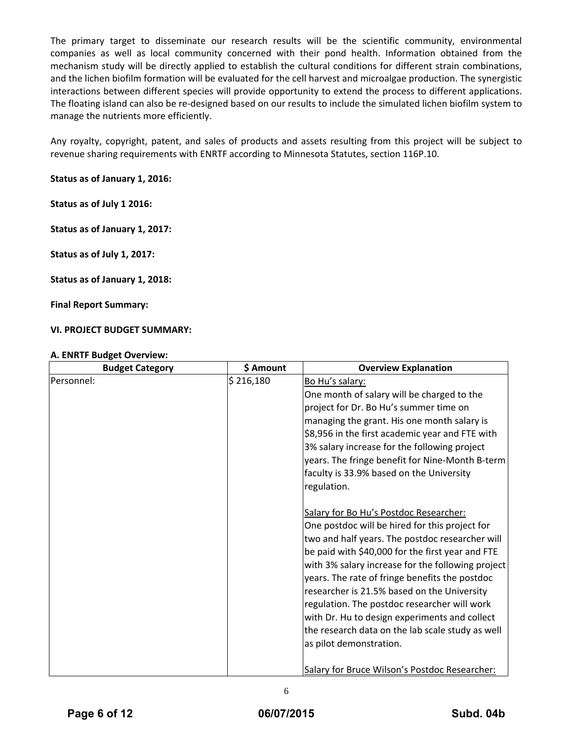The primary target to disseminate our research results will be the scientific community, environmental companies as well as local community concerned with their pond health. Information obtained from the mechanism study will be directly applied to establish the cultural conditions for different strain combinations, and the lichen biofilm formation will be evaluated for the cell harvest and microalgae production. The synergistic interactions between different species will provide opportunity to extend the process to different applications. The floating island can also be re‐designed based on our results to include the simulated lichen biofilm system to manage the nutrients more efficiently.

Any royalty, copyright, patent, and sales of products and assets resulting from this project will be subject to revenue sharing requirements with ENRTF according to Minnesota Statutes, section 116P.10.

# **Status as of January 1, 2016:**

**Status as of July 1 2016:** 

**Status as of January 1, 2017:** 

**Status as of July 1, 2017:** 

**Status as of January 1, 2018:** 

**Final Report Summary:**

# **VI. PROJECT BUDGET SUMMARY:**

# **A. ENRTF Budget Overview:**

| <b>Budget Category</b> | \$ Amount | <b>Overview Explanation</b>                       |
|------------------------|-----------|---------------------------------------------------|
| Personnel:             | \$216,180 | Bo Hu's salary:                                   |
|                        |           | One month of salary will be charged to the        |
|                        |           | project for Dr. Bo Hu's summer time on            |
|                        |           | managing the grant. His one month salary is       |
|                        |           | \$8,956 in the first academic year and FTE with   |
|                        |           | 3% salary increase for the following project      |
|                        |           | years. The fringe benefit for Nine-Month B-term   |
|                        |           | faculty is 33.9% based on the University          |
|                        |           | regulation.                                       |
|                        |           |                                                   |
|                        |           | Salary for Bo Hu's Postdoc Researcher:            |
|                        |           | One postdoc will be hired for this project for    |
|                        |           | two and half years. The postdoc researcher will   |
|                        |           | be paid with \$40,000 for the first year and FTE  |
|                        |           | with 3% salary increase for the following project |
|                        |           | years. The rate of fringe benefits the postdoc    |
|                        |           | researcher is 21.5% based on the University       |
|                        |           | regulation. The postdoc researcher will work      |
|                        |           | with Dr. Hu to design experiments and collect     |
|                        |           | the research data on the lab scale study as well  |
|                        |           | as pilot demonstration.                           |
|                        |           |                                                   |
|                        |           | Salary for Bruce Wilson's Postdoc Researcher:     |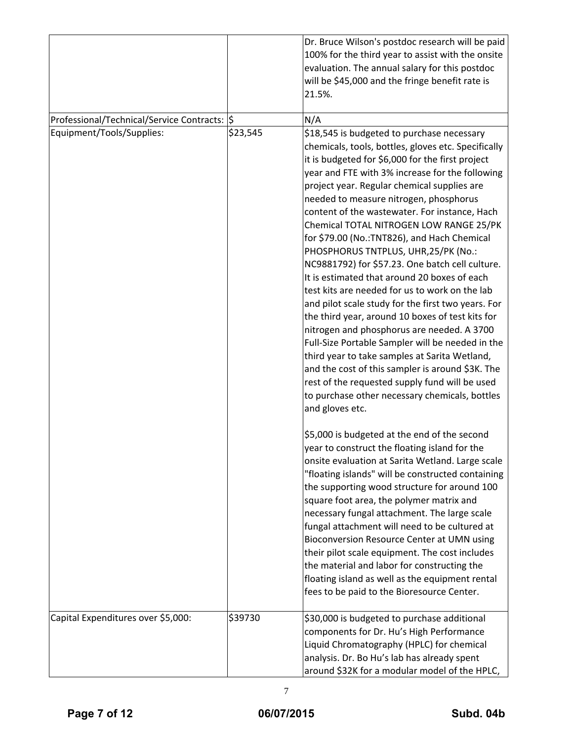|                                               |          | Dr. Bruce Wilson's postdoc research will be paid<br>100% for the third year to assist with the onsite<br>evaluation. The annual salary for this postdoc<br>will be \$45,000 and the fringe benefit rate is<br>21.5%.                                                                                                                                                                                                                                                                                                                                                                                                                                                                                                                                                                                                                                                                                                                                                                                                                                                              |
|-----------------------------------------------|----------|-----------------------------------------------------------------------------------------------------------------------------------------------------------------------------------------------------------------------------------------------------------------------------------------------------------------------------------------------------------------------------------------------------------------------------------------------------------------------------------------------------------------------------------------------------------------------------------------------------------------------------------------------------------------------------------------------------------------------------------------------------------------------------------------------------------------------------------------------------------------------------------------------------------------------------------------------------------------------------------------------------------------------------------------------------------------------------------|
| Professional/Technical/Service Contracts:  \$ |          | N/A                                                                                                                                                                                                                                                                                                                                                                                                                                                                                                                                                                                                                                                                                                                                                                                                                                                                                                                                                                                                                                                                               |
| Equipment/Tools/Supplies:                     | \$23,545 | \$18,545 is budgeted to purchase necessary<br>chemicals, tools, bottles, gloves etc. Specifically<br>it is budgeted for \$6,000 for the first project<br>year and FTE with 3% increase for the following<br>project year. Regular chemical supplies are<br>needed to measure nitrogen, phosphorus<br>content of the wastewater. For instance, Hach<br>Chemical TOTAL NITROGEN LOW RANGE 25/PK<br>for \$79.00 (No.:TNT826), and Hach Chemical<br>PHOSPHORUS TNTPLUS, UHR, 25/PK (No.:<br>NC9881792) for \$57.23. One batch cell culture.<br>It is estimated that around 20 boxes of each<br>test kits are needed for us to work on the lab<br>and pilot scale study for the first two years. For<br>the third year, around 10 boxes of test kits for<br>nitrogen and phosphorus are needed. A 3700<br>Full-Size Portable Sampler will be needed in the<br>third year to take samples at Sarita Wetland,<br>and the cost of this sampler is around \$3K. The<br>rest of the requested supply fund will be used<br>to purchase other necessary chemicals, bottles<br>and gloves etc. |
|                                               |          | \$5,000 is budgeted at the end of the second<br>year to construct the floating island for the<br>onsite evaluation at Sarita Wetland. Large scale<br>"floating islands" will be constructed containing<br>the supporting wood structure for around 100<br>square foot area, the polymer matrix and<br>necessary fungal attachment. The large scale<br>fungal attachment will need to be cultured at<br>Bioconversion Resource Center at UMN using<br>their pilot scale equipment. The cost includes<br>the material and labor for constructing the<br>floating island as well as the equipment rental<br>fees to be paid to the Bioresource Center.                                                                                                                                                                                                                                                                                                                                                                                                                               |
| Capital Expenditures over \$5,000:            | \$39730  | \$30,000 is budgeted to purchase additional<br>components for Dr. Hu's High Performance<br>Liquid Chromatography (HPLC) for chemical<br>analysis. Dr. Bo Hu's lab has already spent<br>around \$32K for a modular model of the HPLC,                                                                                                                                                                                                                                                                                                                                                                                                                                                                                                                                                                                                                                                                                                                                                                                                                                              |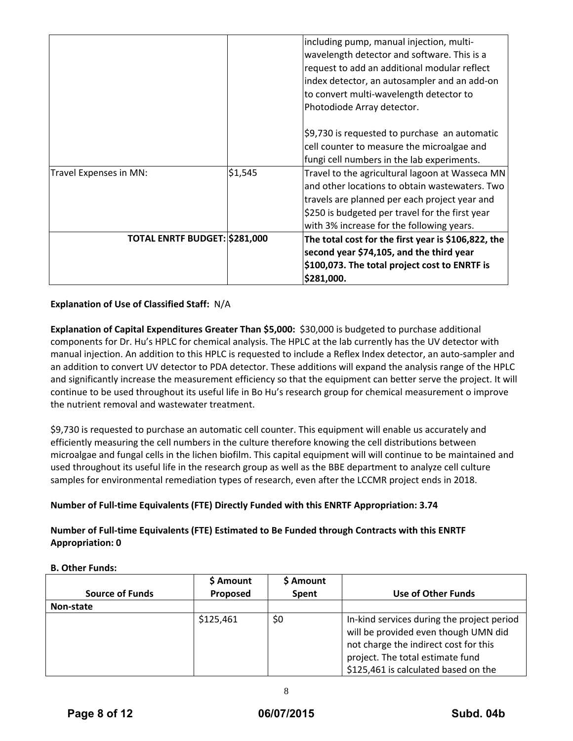|                               |         | including pump, manual injection, multi-            |
|-------------------------------|---------|-----------------------------------------------------|
|                               |         | wavelength detector and software. This is a         |
|                               |         | request to add an additional modular reflect        |
|                               |         | index detector, an autosampler and an add-on        |
|                               |         | to convert multi-wavelength detector to             |
|                               |         | Photodiode Array detector.                          |
|                               |         | \$9,730 is requested to purchase an automatic       |
|                               |         | cell counter to measure the microalgae and          |
|                               |         | fungi cell numbers in the lab experiments.          |
| Travel Expenses in MN:        | \$1,545 | Travel to the agricultural lagoon at Wasseca MN     |
|                               |         | and other locations to obtain wastewaters. Two      |
|                               |         | travels are planned per each project year and       |
|                               |         | \$250 is budgeted per travel for the first year     |
|                               |         | with 3% increase for the following years.           |
| TOTAL ENRTF BUDGET: \$281,000 |         | The total cost for the first year is \$106,822, the |
|                               |         | second year \$74,105, and the third year            |
|                               |         | \$100,073. The total project cost to ENRTF is       |
|                               |         | \$281,000.                                          |

# **Explanation of Use of Classified Staff:** N/A

**Explanation of Capital Expenditures Greater Than \$5,000:** \$30,000 is budgeted to purchase additional components for Dr. Hu's HPLC for chemical analysis. The HPLC at the lab currently has the UV detector with manual injection. An addition to this HPLC is requested to include a Reflex Index detector, an auto‐sampler and an addition to convert UV detector to PDA detector. These additions will expand the analysis range of the HPLC and significantly increase the measurement efficiency so that the equipment can better serve the project. It will continue to be used throughout its useful life in Bo Hu's research group for chemical measurement o improve the nutrient removal and wastewater treatment.

\$9,730 is requested to purchase an automatic cell counter. This equipment will enable us accurately and efficiently measuring the cell numbers in the culture therefore knowing the cell distributions between microalgae and fungal cells in the lichen biofilm. This capital equipment will will continue to be maintained and used throughout its useful life in the research group as well as the BBE department to analyze cell culture samples for environmental remediation types of research, even after the LCCMR project ends in 2018.

# **Number of Full‐time Equivalents (FTE) Directly Funded with this ENRTF Appropriation: 3.74**

**Number of Full‐time Equivalents (FTE) Estimated to Be Funded through Contracts with this ENRTF Appropriation: 0**

#### **B. Other Funds:**

| <b>Source of Funds</b> | \$ Amount<br>Proposed | \$ Amount<br>Spent | Use of Other Funds                                                                                                                                                                                      |
|------------------------|-----------------------|--------------------|---------------------------------------------------------------------------------------------------------------------------------------------------------------------------------------------------------|
|                        |                       |                    |                                                                                                                                                                                                         |
| Non-state              |                       |                    |                                                                                                                                                                                                         |
|                        | \$125,461             | \$0                | In-kind services during the project period<br>will be provided even though UMN did<br>not charge the indirect cost for this<br>project. The total estimate fund<br>\$125,461 is calculated based on the |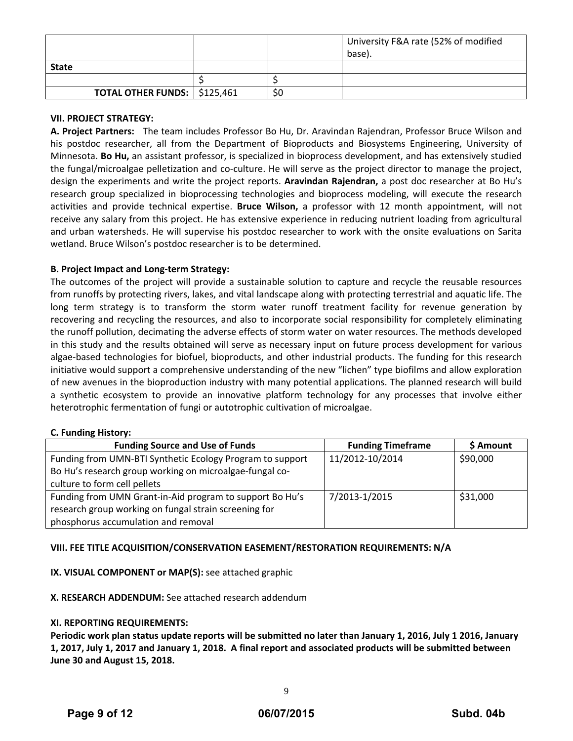|                                       |     | University F&A rate (52% of modified |
|---------------------------------------|-----|--------------------------------------|
|                                       |     | base).                               |
| <b>State</b>                          |     |                                      |
|                                       |     |                                      |
| <b>TOTAL OTHER FUNDS:   \$125,461</b> | \$0 |                                      |

# **VII. PROJECT STRATEGY:**

**A. Project Partners:** The team includes Professor Bo Hu, Dr. Aravindan Rajendran, Professor Bruce Wilson and his postdoc researcher, all from the Department of Bioproducts and Biosystems Engineering, University of Minnesota. **Bo Hu,** an assistant professor, is specialized in bioprocess development, and has extensively studied the fungal/microalgae pelletization and co-culture. He will serve as the project director to manage the project, design the experiments and write the project reports. **Aravindan Rajendran,** a post doc researcher at Bo Hu's research group specialized in bioprocessing technologies and bioprocess modeling, will execute the research activities and provide technical expertise. **Bruce Wilson,** a professor with 12 month appointment, will not receive any salary from this project. He has extensive experience in reducing nutrient loading from agricultural and urban watersheds. He will supervise his postdoc researcher to work with the onsite evaluations on Sarita wetland. Bruce Wilson's postdoc researcher is to be determined.

# **B. Project Impact and Long‐term Strategy:**

The outcomes of the project will provide a sustainable solution to capture and recycle the reusable resources from runoffs by protecting rivers, lakes, and vital landscape along with protecting terrestrial and aquatic life. The long term strategy is to transform the storm water runoff treatment facility for revenue generation by recovering and recycling the resources, and also to incorporate social responsibility for completely eliminating the runoff pollution, decimating the adverse effects of storm water on water resources. The methods developed in this study and the results obtained will serve as necessary input on future process development for various algae‐based technologies for biofuel, bioproducts, and other industrial products. The funding for this research initiative would support a comprehensive understanding of the new "lichen" type biofilms and allow exploration of new avenues in the bioproduction industry with many potential applications. The planned research will build a synthetic ecosystem to provide an innovative platform technology for any processes that involve either heterotrophic fermentation of fungi or autotrophic cultivation of microalgae.

#### **C. Funding History:**

| <b>Funding Source and Use of Funds</b>                    | <b>Funding Timeframe</b> | \$ Amount |
|-----------------------------------------------------------|--------------------------|-----------|
| Funding from UMN-BTI Synthetic Ecology Program to support | 11/2012-10/2014          | \$90,000  |
| Bo Hu's research group working on microalgae-fungal co-   |                          |           |
| culture to form cell pellets                              |                          |           |
| Funding from UMN Grant-in-Aid program to support Bo Hu's  | 7/2013-1/2015            | \$31,000  |
| research group working on fungal strain screening for     |                          |           |
| phosphorus accumulation and removal                       |                          |           |

# **VIII. FEE TITLE ACQUISITION/CONSERVATION EASEMENT/RESTORATION REQUIREMENTS: N/A**

# **IX. VISUAL COMPONENT or MAP(S):** see attached graphic

#### **X. RESEARCH ADDENDUM:** See attached research addendum

#### **XI. REPORTING REQUIREMENTS:**

Periodic work plan status update reports will be submitted no later than January 1, 2016, July 1 2016, January 1, 2017, July 1, 2017 and January 1, 2018. A final report and associated products will be submitted between **June 30 and August 15, 2018.**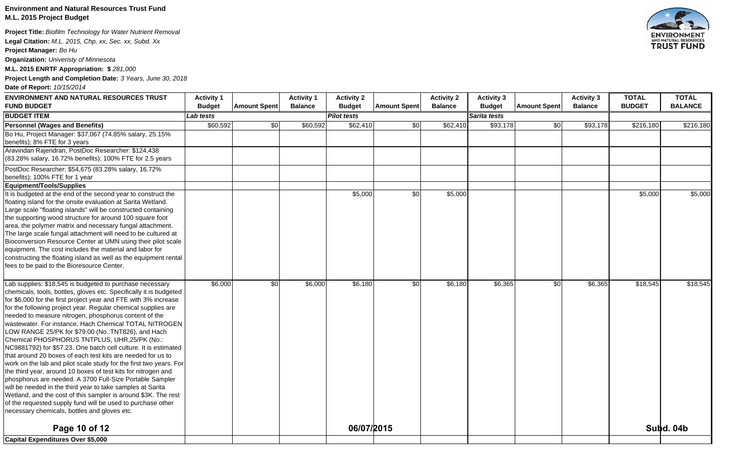# **Environment and Natural Resources Trust Fund M.L. 2015 Project Budget**

**Project Title:** *Biofilm Technology for Water Nutrient Removal* 

**Legal Citation:** *M.L. 2015, Chp. xx, Sec. xx, Subd. Xx*

**Project Manager:** *Bo Hu*

**Organization:** *Univeristy of Minnesota*

**M.L. 2015 ENRTF Appropriation: \$** *281,000*

**Project Length and Completion Date:** *3 Years, June 30, 2018*

**Date of Report:** *10/15/2014*

| <b>ENVIRONMENT AND NATURAL RESOURCES TRUST</b>                                                                         | <b>Activity 1</b> |                     | <b>Activity 1</b> | <b>Activity 2</b>  |                     | <b>Activity 2</b> | <b>Activity 3</b> |                     | <b>Activity 3</b> | <b>TOTAL</b>  | <b>TOTAL</b>   |
|------------------------------------------------------------------------------------------------------------------------|-------------------|---------------------|-------------------|--------------------|---------------------|-------------------|-------------------|---------------------|-------------------|---------------|----------------|
| <b>FUND BUDGET</b>                                                                                                     | <b>Budget</b>     | <b>Amount Spent</b> | <b>Balance</b>    | <b>Budget</b>      | <b>Amount Spent</b> | <b>Balance</b>    | <b>Budget</b>     | <b>Amount Spent</b> | <b>Balance</b>    | <b>BUDGET</b> | <b>BALANCE</b> |
| <b>BUDGET ITEM</b>                                                                                                     | Lab tests         |                     |                   | <b>Pilot tests</b> |                     |                   | Sarita tests      |                     |                   |               |                |
| <b>Personnel (Wages and Benefits)</b>                                                                                  | \$60,592          | \$0                 | \$60,592          | \$62,410           | \$0                 | \$62,410          | \$93,178          | \$0                 | \$93,178          | \$216,180     | \$216,180      |
| Bo Hu, Project Manager: \$37,067 (74.85% salary, 25.15%                                                                |                   |                     |                   |                    |                     |                   |                   |                     |                   |               |                |
| benefits); 8% FTE for 3 years                                                                                          |                   |                     |                   |                    |                     |                   |                   |                     |                   |               |                |
| Aravindan Rajendran, PostDoc Researcher: \$124,438                                                                     |                   |                     |                   |                    |                     |                   |                   |                     |                   |               |                |
| (83.28% salary, 16.72% benefits); 100% FTE for 2.5 years                                                               |                   |                     |                   |                    |                     |                   |                   |                     |                   |               |                |
| PostDoc Researcher: \$54,675 (83.28% salary, 16.72%                                                                    |                   |                     |                   |                    |                     |                   |                   |                     |                   |               |                |
| benefits); 100% FTE for 1 year                                                                                         |                   |                     |                   |                    |                     |                   |                   |                     |                   |               |                |
| Equipment/Tools/Supplies                                                                                               |                   |                     |                   |                    |                     |                   |                   |                     |                   |               |                |
| It is budgeted at the end of the second year to construct the                                                          |                   |                     |                   | \$5,000            | \$0                 | \$5,000           |                   |                     |                   | \$5,000       | \$5,000        |
| floating island for the onsite evaluation at Sarita Wetland.                                                           |                   |                     |                   |                    |                     |                   |                   |                     |                   |               |                |
| Large scale "floating islands" will be constructed containing                                                          |                   |                     |                   |                    |                     |                   |                   |                     |                   |               |                |
| the supporting wood structure for around 100 square foot                                                               |                   |                     |                   |                    |                     |                   |                   |                     |                   |               |                |
| area, the polymer matrix and necessary fungal attachment.                                                              |                   |                     |                   |                    |                     |                   |                   |                     |                   |               |                |
| The large scale fungal attachment will need to be cultured at                                                          |                   |                     |                   |                    |                     |                   |                   |                     |                   |               |                |
| Bioconversion Resource Center at UMN using their pilot scale                                                           |                   |                     |                   |                    |                     |                   |                   |                     |                   |               |                |
| equipment. The cost includes the material and labor for                                                                |                   |                     |                   |                    |                     |                   |                   |                     |                   |               |                |
| constructing the floating island as well as the equipment rental                                                       |                   |                     |                   |                    |                     |                   |                   |                     |                   |               |                |
| fees to be paid to the Bioresource Center.                                                                             |                   |                     |                   |                    |                     |                   |                   |                     |                   |               |                |
|                                                                                                                        |                   |                     |                   |                    |                     |                   |                   |                     |                   |               |                |
| Lab supplies: \$18,545 is budgeted to purchase necessary                                                               | \$6,000           | \$0                 | \$6,000           | \$6,180            | \$0                 | \$6,180           | \$6,365           | SO <sub>1</sub>     | \$6,365           | \$18,545      | \$18,545       |
| chemicals, tools, bottles, gloves etc. Specifically it is budgeted                                                     |                   |                     |                   |                    |                     |                   |                   |                     |                   |               |                |
| for \$6,000 for the first project year and FTE with 3% increase                                                        |                   |                     |                   |                    |                     |                   |                   |                     |                   |               |                |
| for the following project year. Regular chemical supplies are<br>needed to measure nitrogen, phosphorus content of the |                   |                     |                   |                    |                     |                   |                   |                     |                   |               |                |
| wastewater. For instance, Hach Chemical TOTAL NITROGEN                                                                 |                   |                     |                   |                    |                     |                   |                   |                     |                   |               |                |
| LOW RANGE 25/PK for \$79.00 (No.:TNT826), and Hach                                                                     |                   |                     |                   |                    |                     |                   |                   |                     |                   |               |                |
| Chemical PHOSPHORUS TNTPLUS, UHR,25/PK (No.:                                                                           |                   |                     |                   |                    |                     |                   |                   |                     |                   |               |                |
| NC9881792) for \$57.23. One batch cell culture. It is estimated                                                        |                   |                     |                   |                    |                     |                   |                   |                     |                   |               |                |
| that around 20 boxes of each test kits are needed for us to                                                            |                   |                     |                   |                    |                     |                   |                   |                     |                   |               |                |
| work on the lab and pilot scale study for the first two years. For                                                     |                   |                     |                   |                    |                     |                   |                   |                     |                   |               |                |
| the third year, around 10 boxes of test kits for nitrogen and                                                          |                   |                     |                   |                    |                     |                   |                   |                     |                   |               |                |
| phosphorus are needed. A 3700 Full-Size Portable Sampler                                                               |                   |                     |                   |                    |                     |                   |                   |                     |                   |               |                |
| will be needed in the third year to take samples at Sarita                                                             |                   |                     |                   |                    |                     |                   |                   |                     |                   |               |                |
| Wetland, and the cost of this sampler is around \$3K. The rest                                                         |                   |                     |                   |                    |                     |                   |                   |                     |                   |               |                |
| of the requested supply fund will be used to purchase other                                                            |                   |                     |                   |                    |                     |                   |                   |                     |                   |               |                |
| necessary chemicals, bottles and gloves etc.                                                                           |                   |                     |                   |                    |                     |                   |                   |                     |                   |               |                |
|                                                                                                                        |                   |                     |                   |                    |                     |                   |                   |                     |                   |               |                |
| Page 10 of 12                                                                                                          |                   |                     |                   | 06/07/2015         |                     |                   |                   |                     |                   |               | Subd. 04b      |
| Capital Expenditures Over \$5,000                                                                                      |                   |                     |                   |                    |                     |                   |                   |                     |                   |               |                |

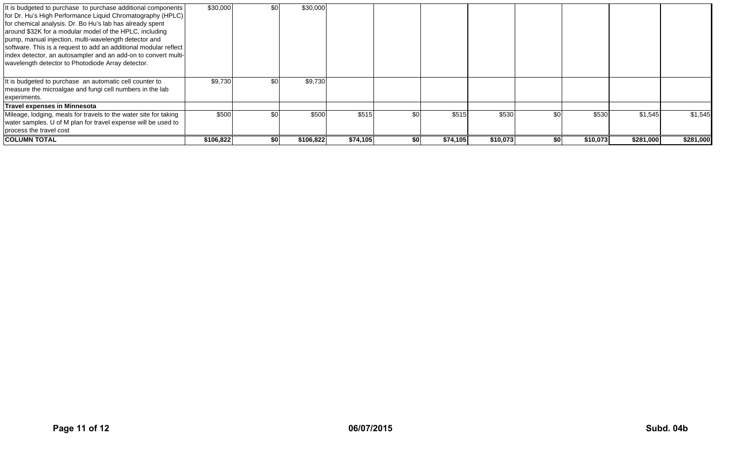| It is budgeted to purchase to purchase additional components<br>for Dr. Hu's High Performance Liquid Chromatography (HPLC)<br>for chemical analysis. Dr. Bo Hu's lab has already spent<br>around \$32K for a modular model of the HPLC, including<br>pump, manual injection, multi-wavelength detector and<br>software. This is a request to add an additional modular reflect<br>index detector, an autosampler and an add-on to convert multi-<br>wavelength detector to Photodiode Array detector. | \$30,000  | \$0 | \$30,000  |          |     |          |          |     |          |           |           |
|-------------------------------------------------------------------------------------------------------------------------------------------------------------------------------------------------------------------------------------------------------------------------------------------------------------------------------------------------------------------------------------------------------------------------------------------------------------------------------------------------------|-----------|-----|-----------|----------|-----|----------|----------|-----|----------|-----------|-----------|
| It is budgeted to purchase an automatic cell counter to<br>measure the microalgae and fungi cell numbers in the lab<br>experiments.                                                                                                                                                                                                                                                                                                                                                                   | \$9,730   | \$0 | \$9,730   |          |     |          |          |     |          |           |           |
| Travel expenses in Minnesota                                                                                                                                                                                                                                                                                                                                                                                                                                                                          |           |     |           |          |     |          |          |     |          |           |           |
| Mileage, lodging, meals for travels to the water site for taking<br>water samples. U of M plan for travel expense will be used to<br>process the travel cost                                                                                                                                                                                                                                                                                                                                          | \$500     | \$0 | \$500     | \$515    | \$0 | \$515    | \$530    | \$0 | \$530    | \$1,545   | \$1,545   |
| <b>COLUMN TOTAL</b>                                                                                                                                                                                                                                                                                                                                                                                                                                                                                   | \$106,822 | \$0 | \$106,822 | \$74,105 | \$0 | \$74,105 | \$10,073 | \$0 | \$10,073 | \$281,000 | \$281,000 |